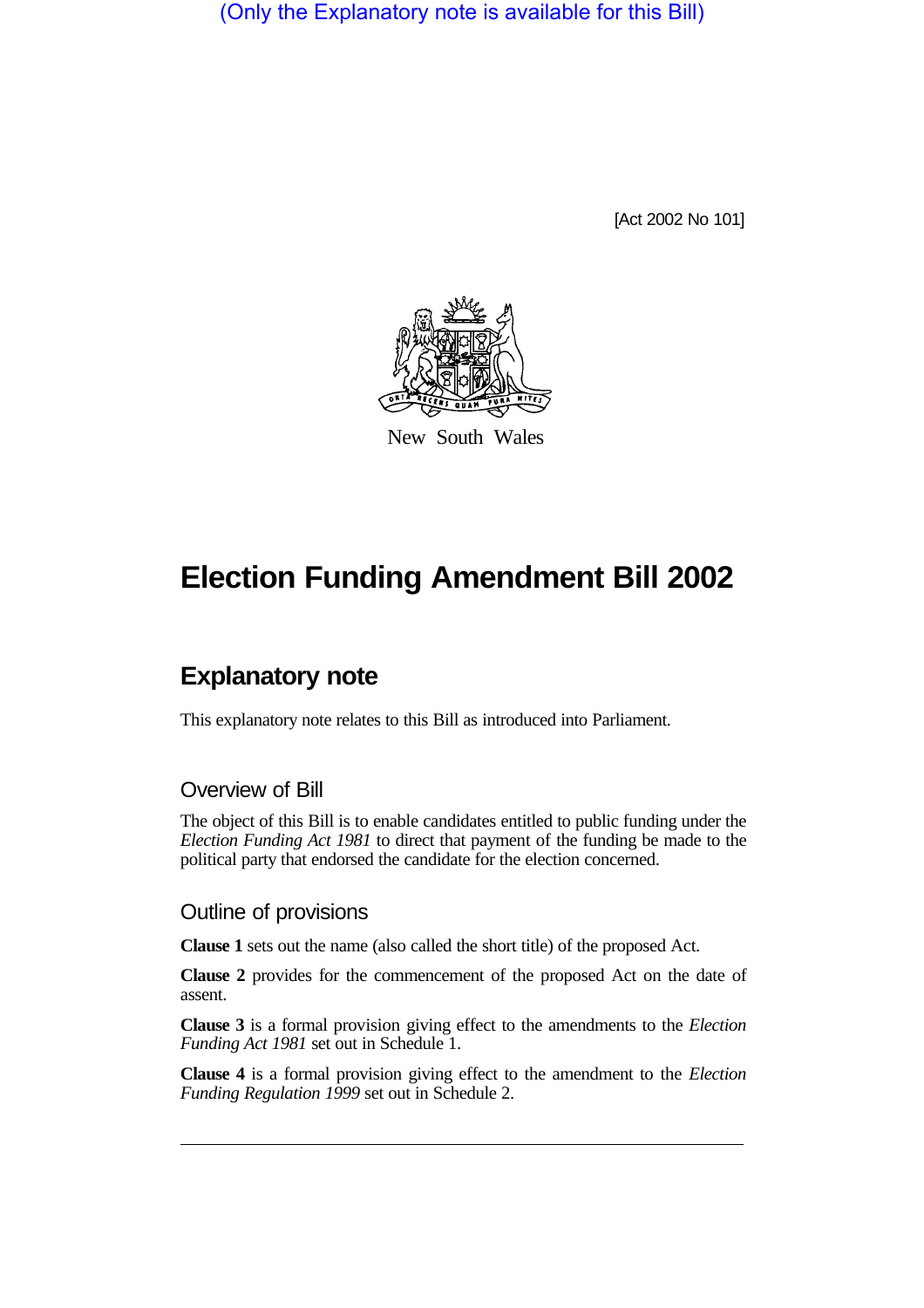(Only the Explanatory note is available for this Bill)

[Act 2002 No 101]



New South Wales

# **Election Funding Amendment Bill 2002**

# **Explanatory note**

This explanatory note relates to this Bill as introduced into Parliament.

#### Overview of Bill

The object of this Bill is to enable candidates entitled to public funding under the *Election Funding Act 1981* to direct that payment of the funding be made to the political party that endorsed the candidate for the election concerned.

#### Outline of provisions

**Clause 1** sets out the name (also called the short title) of the proposed Act.

**Clause 2** provides for the commencement of the proposed Act on the date of assent.

**Clause 3** is a formal provision giving effect to the amendments to the *Election Funding Act 1981* set out in Schedule 1.

**Clause 4** is a formal provision giving effect to the amendment to the *Election Funding Regulation 1999* set out in Schedule 2.